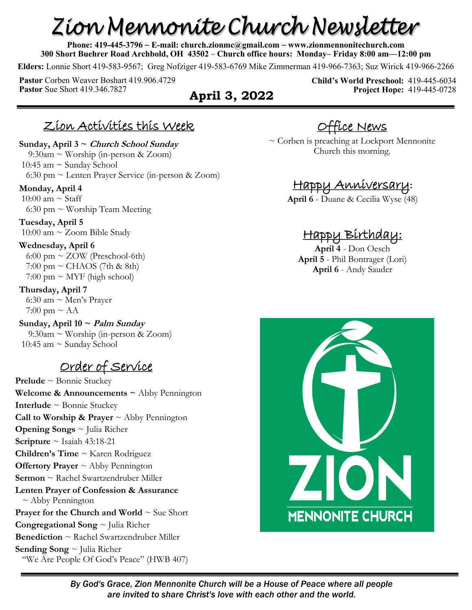# Zion Mennonite Church Newsletter

**Phone: 419-445-3796 ~ E-mail: church.zionmc@gmail.com ~ www.zionmennonitechurch.com 300 Short Buehrer Road Archbold, OH 43502** ~ **Church office hours: Monday– Friday 8:00 am—12:00 pm** 

**Elders:** Lonnie Short 419-583-9567; Greg Nofziger 419-583-6769 Mike Zimmerman 419-966-7363; Suz Wirick 419-966-2266

**Pastor** Corben Weaver Boshart 419.906.4729 **Pastor** Sue Short 419.346.7827 **April 3, 2022** 

**Child's World Preschool:** 419-445-6034 **Project Hope:** 419-445-0728

#### Zion Activities this Week

**Sunday, April 3 ~ Church School Sunday**  $9:30$ am ~ Worship (in-person & Zoom) 10:45 am ~ Sunday School 6:30 pm ~ Lenten Prayer Service (in-person & Zoom)

**Monday, April 4** 10:00 am  $\sim$  Staff

6:30 pm  $\sim$  Worship Team Meeting

**Tuesday, April 5** 10:00 am ~ Zoom Bible Study

#### **Wednesday, April 6**

6:00 pm  $\sim$  ZOW (Preschool-6th)  $7:00 \text{ pm} \sim \text{CHAOS}$  (7th & 8th)  $7:00 \text{ pm} \sim \text{MYF}$  (high school)

#### **Thursday, April 7**

 6:30 am ~ Men's Prayer  $7:00 \text{ pm} \sim \text{AA}$ 

**Sunday, April 10 ~ Palm Sunday** 9:30am ~ Worship (in-person & Zoom) 10:45 am  $\sim$  Sunday School

#### Order of Service

**Prelude** ~ Bonnie Stuckey **Welcome & Announcements ~** Abby Pennington **Interlude** ~ Bonnie Stuckey **Call to Worship & Prayer**  $\sim$  Abby Pennington **Opening Songs** ~ Julia Richer **Scripture** ~ Isaiah 43:18-21 **Children's Time** ~ Karen Rodriguez **Offertory Prayer** ~ Abby Pennington **Sermon** ~ Rachel Swartzendruber Miller **Lenten Prayer of Confession & Assurance**  $\sim$  Abby Pennington **Prayer for the Church and World**  $\sim$  **Sue Short Congregational Song** ~ Julia Richer **Benediction** ~ Rachel Swartzendruber Miller **Sending Song** ~ Julia Richer "We Are People Of God's Peace" (HWB 407)

Office News

~ Corben is preaching at Lockport Mennonite Church this morning.

#### Happy Anniversary**:**

**April 6** - Duane & Cecilia Wyse (48)

#### Happy Birthday:

**April 4** - Don Oesch **April 5** - Phil Bontrager (Lori) **April 6** - Andy Sauder



*By God's Grace, Zion Mennonite Church will be a House of Peace where all people are invited to share Christ's love with each other and the world.*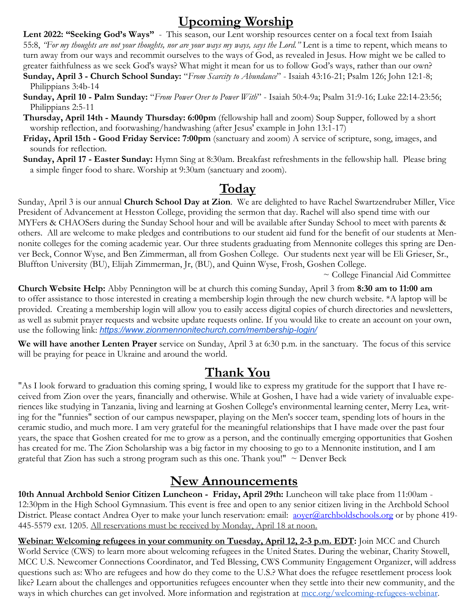#### **Upcoming Worship**

**Lent 2022: "Seeking God's Ways"** - This season, our Lent worship resources center on a focal text from Isaiah 55:8, *"For my thoughts are not your thoughts, nor are your ways my ways, says the Lord."* Lent is a time to repent, which means to turn away from our ways and recommit ourselves to the ways of God, as revealed in Jesus. How might we be called to greater faithfulness as we seek God's ways? What might it mean for us to follow God's ways, rather than our own?

- **Sunday, April 3 - Church School Sunday:** "*From Scarcity to Abundance*" Isaiah 43:16-21; Psalm 126; John 12:1-8; Philippians 3:4b-14
- **Sunday, April 10 - Palm Sunday:** "*From Power Over to Power With*" Isaiah 50:4-9a; Psalm 31:9-16; Luke 22:14-23:56; Philippians 2:5-11
- **Thursday, April 14th - Maundy Thursday: 6:00pm** (fellowship hall and zoom) Soup Supper, followed by a short worship reflection, and footwashing/handwashing (after Jesus' example in John 13:1-17)
- **Friday, April 15th - Good Friday Service: 7:00pm** (sanctuary and zoom) A service of scripture, song, images, and sounds for reflection.
- **Sunday, April 17 - Easter Sunday:** Hymn Sing at 8:30am. Breakfast refreshments in the fellowship hall. Please bring a simple finger food to share. Worship at 9:30am (sanctuary and zoom).

# **Today**

Sunday, April 3 is our annual **Church School Day at Zion**. We are delighted to have Rachel Swartzendruber Miller, Vice President of Advancement at Hesston College, providing the sermon that day. Rachel will also spend time with our MYFers & CHAOSers during the Sunday School hour and will be available after Sunday School to meet with parents & others. All are welcome to make pledges and contributions to our student aid fund for the benefit of our students at Mennonite colleges for the coming academic year. Our three students graduating from Mennonite colleges this spring are Denver Beck, Connor Wyse, and Ben Zimmerman, all from Goshen College. Our students next year will be Eli Grieser, Sr., Bluffton University (BU), Elijah Zimmerman, Jr, (BU), and Quinn Wyse, Frosh, Goshen College.

~ College Financial Aid Committee

**Church Website Help:** Abby Pennington will be at church this coming Sunday, April 3 from **8:30 am to 11:00 am** to offer assistance to those interested in creating a membership login through the new church website. \*A laptop will be provided. Creating a membership login will allow you to easily access digital copies of church directories and newsletters, as well as submit prayer requests and website update requests online. If you would like to create an account on your own, use the following link: *[https://www.zionmennonitechurch.com/membership](https://www.zionmennonitechurch.com/membership-login/)-login/*

**We will have another Lenten Prayer** service on Sunday, April 3 at 6:30 p.m. in the sanctuary. The focus of this service will be praying for peace in Ukraine and around the world.

#### **Thank You**

"As I look forward to graduation this coming spring, I would like to express my gratitude for the support that I have received from Zion over the years, financially and otherwise. While at Goshen, I have had a wide variety of invaluable experiences like studying in Tanzania, living and learning at Goshen College's environmental learning center, Merry Lea, writing for the "funnies" section of our campus newspaper, playing on the Men's soccer team, spending lots of hours in the ceramic studio, and much more. I am very grateful for the meaningful relationships that I have made over the past four years, the space that Goshen created for me to grow as a person, and the continually emerging opportunities that Goshen has created for me. The Zion Scholarship was a big factor in my choosing to go to a Mennonite institution, and I am grateful that Zion has such a strong program such as this one. Thank you!"  $\sim$  Denver Beck

#### **New Announcements**

**10th Annual Archbold Senior Citizen Luncheon - Friday, April 29th:** Luncheon will take place from 11:00am - 12:30pm in the High School Gymnasium. This event is free and open to any senior citizen living in the Archbold School District. Please contact Andrea Oyer to make your lunch reservation: email: [aoyer@archboldschools.org](mailto:aoyer@archboldschools.org) or by phone 419-445-5579 ext. 1205. All reservations must be received by Monday, April 18 at noon.

**Webinar: Welcoming refugees in your community on Tuesday, April 12, 2-3 p.m. EDT:** Join MCC and Church World Service (CWS) to learn more about welcoming refugees in the United States. During the webinar, Charity Stowell, MCC U.S. Newcomer Connections Coordinator, and Ted Blessing, CWS Community Engagement Organizer, will address questions such as: Who are refugees and how do they come to the U.S.? What does the refugee resettlement process look like? Learn about the challenges and opportunities refugees encounter when they settle into their new community, and the ways in which churches can get involved. More information and registration at [mcc.org/welcoming-refugees-webinar.](https://mcc.org/get-involved/events/welcoming-refugees-your-community)